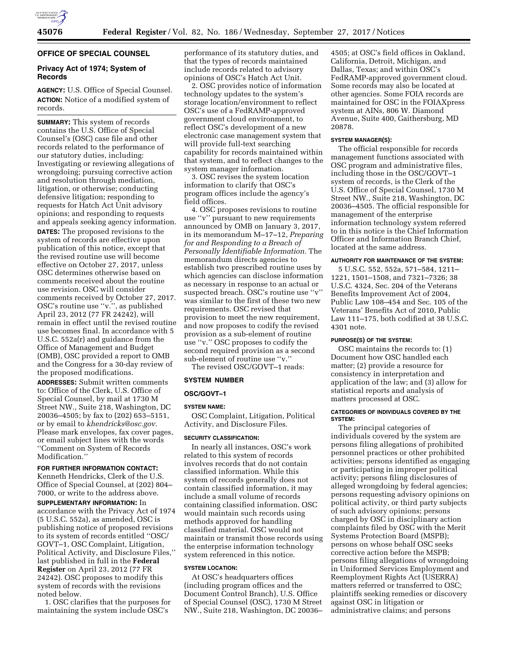

# **OFFICE OF SPECIAL COUNSEL**

# **Privacy Act of 1974; System of Records**

**AGENCY:** U.S. Office of Special Counsel. **ACTION:** Notice of a modified system of records.

**SUMMARY:** This system of records contains the U.S. Office of Special Counsel's (OSC) case file and other records related to the performance of our statutory duties, including: Investigating or reviewing allegations of wrongdoing; pursuing corrective action and resolution through mediation, litigation, or otherwise; conducting defensive litigation; responding to requests for Hatch Act Unit advisory opinions; and responding to requests and appeals seeking agency information. **DATES:** The proposed revisions to the system of records are effective upon publication of this notice, except that the revised routine use will become effective on October 27, 2017, unless OSC determines otherwise based on comments received about the routine use revision. OSC will consider comments received by October 27, 2017. OSC's routine use ''v.'', as published April 23, 2012 (77 FR 24242), will remain in effect until the revised routine use becomes final. In accordance with 5 U.S.C. 552a(r) and guidance from the Office of Management and Budget (OMB), OSC provided a report to OMB and the Congress for a 30-day review of the proposed modifications.

**ADDRESSES:** Submit written comments to: Office of the Clerk, U.S. Office of Special Counsel, by mail at 1730 M Street NW., Suite 218, Washington, DC 20036–4505; by fax to (202) 653–5151, or by email to *[khendricks@osc.gov.](mailto:khendricks@osc.gov)*  Please mark envelopes, fax cover pages, or email subject lines with the words ''Comment on System of Records Modification.''

**FOR FURTHER INFORMATION CONTACT:**  Kenneth Hendricks, Clerk of the U.S.

Office of Special Counsel, at (202) 804– 7000, or write to the address above. **SUPPLEMENTARY INFORMATION:** In accordance with the Privacy Act of 1974 (5 U.S.C. 552a), as amended, OSC is publishing notice of proposed revisions to its system of records entitled ''OSC/ GOVT–1, OSC Complaint, Litigation, Political Activity, and Disclosure Files,'' last published in full in the **Federal Register** on April 23, 2012 (77 FR 24242). OSC proposes to modify this system of records with the revisions noted below.

1. OSC clarifies that the purposes for maintaining the system include OSC's

performance of its statutory duties, and that the types of records maintained include records related to advisory opinions of OSC's Hatch Act Unit.

2. OSC provides notice of information technology updates to the system's storage location/environment to reflect OSC's use of a FedRAMP-approved government cloud environment, to reflect OSC's development of a new electronic case management system that will provide full-text searching capability for records maintained within that system, and to reflect changes to the system manager information.

3. OSC revises the system location information to clarify that OSC's program offices include the agency's field offices.

4. OSC proposes revisions to routine use ''v'' pursuant to new requirements announced by OMB on January 3, 2017, in its memorandum M–17–12, *Preparing for and Responding to a Breach of Personally Identifiable Information.* The memorandum directs agencies to establish two prescribed routine uses by which agencies can disclose information as necessary in response to an actual or suspected breach. OSC's routine use ''v'' was similar to the first of these two new requirements. OSC revised that provision to meet the new requirement, and now proposes to codify the revised provision as a sub-element of routine use ''v.'' OSC proposes to codify the second required provision as a second sub-element of routine use ''v.''

The revised OSC/GOVT–1 reads:

## **SYSTEM NUMBER**

## **OSC/GOVT–1**

## **SYSTEM NAME:**

OSC Complaint, Litigation, Political Activity, and Disclosure Files.

#### **SECURITY CLASSIFICATION:**

In nearly all instances, OSC's work related to this system of records involves records that do not contain classified information. While this system of records generally does not contain classified information, it may include a small volume of records containing classified information. OSC would maintain such records using methods approved for handling classified material. OSC would not maintain or transmit those records using the enterprise information technology system referenced in this notice.

## **SYSTEM LOCATION:**

At OSC's headquarters offices (including program offices and the Document Control Branch), U.S. Office of Special Counsel (OSC), 1730 M Street NW., Suite 218, Washington, DC 20036–

4505; at OSC's field offices in Oakland, California, Detroit, Michigan, and Dallas, Texas; and within OSC's FedRAMP-approved government cloud. Some records may also be located at other agencies. Some FOIA records are maintained for OSC in the FOIAXpress system at AINs, 806 W. Diamond Avenue, Suite 400, Gaithersburg, MD 20878.

### **SYSTEM MANAGER(S):**

The official responsible for records management functions associated with OSC program and administrative files, including those in the OSC/GOVT–1 system of records, is the Clerk of the U.S. Office of Special Counsel, 1730 M Street NW., Suite 218, Washington, DC 20036–4505. The official responsible for management of the enterprise information technology system referred to in this notice is the Chief Information Officer and Information Branch Chief, located at the same address.

## **AUTHORITY FOR MAINTENANCE OF THE SYSTEM:**

5 U.S.C. 552, 552a, 571–584, 1211– 1221, 1501–1508, and 7321–7326; 38 U.S.C. 4324, Sec. 204 of the Veterans Benefits Improvement Act of 2004, Public Law 108–454 and Sec. 105 of the Veterans' Benefits Act of 2010, Public Law 111–175, both codified at 38 U.S.C. 4301 note.

## **PURPOSE(S) OF THE SYSTEM:**

OSC maintains the records to: (1) Document how OSC handled each matter; (2) provide a resource for consistency in interpretation and application of the law; and (3) allow for statistical reports and analysis of matters processed at OSC.

### **CATEGORIES OF INDIVIDUALS COVERED BY THE SYSTEM:**

The principal categories of individuals covered by the system are persons filing allegations of prohibited personnel practices or other prohibited activities; persons identified as engaging or participating in improper political activity; persons filing disclosures of alleged wrongdoing by federal agencies; persons requesting advisory opinions on political activity, or third party subjects of such advisory opinions; persons charged by OSC in disciplinary action complaints filed by OSC with the Merit Systems Protection Board (MSPB); persons on whose behalf OSC seeks corrective action before the MSPB; persons filing allegations of wrongdoing in Uniformed Services Employment and Reemployment Rights Act (USERRA) matters referred or transferred to OSC; plaintiffs seeking remedies or discovery against OSC in litigation or administrative claims; and persons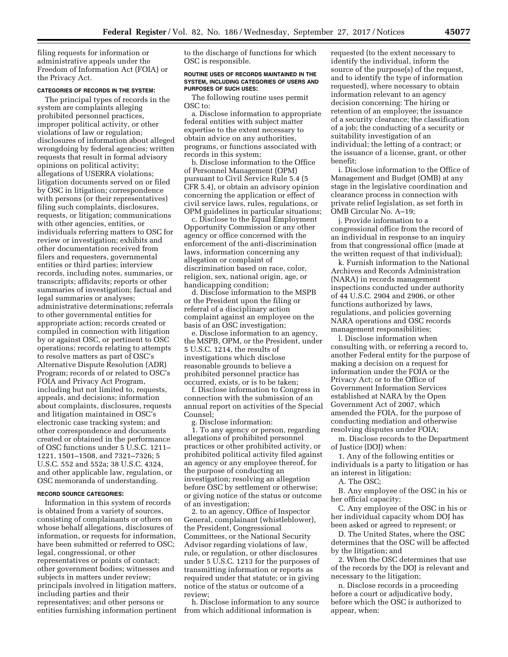filing requests for information or administrative appeals under the Freedom of Information Act (FOIA) or the Privacy Act.

## **CATEGORIES OF RECORDS IN THE SYSTEM:**

The principal types of records in the system are complaints alleging prohibited personnel practices, improper political activity, or other violations of law or regulation; disclosures of information about alleged wrongdoing by federal agencies; written requests that result in formal advisory opinions on political activity; allegations of USERRA violations; litigation documents served on or filed by OSC in litigation; correspondence with persons (or their representatives) filing such complaints, disclosures, requests, or litigation; communications with other agencies, entities, or individuals referring matters to OSC for review or investigation; exhibits and other documentation received from filers and requesters, governmental entities or third parties; interview records, including notes, summaries, or transcripts; affidavits; reports or other summaries of investigation; factual and legal summaries or analyses; administrative determinations; referrals to other governmental entities for appropriate action; records created or compiled in connection with litigation by or against OSC, or pertinent to OSC operations; records relating to attempts to resolve matters as part of OSC's Alternative Dispute Resolution (ADR) Program; records of or related to OSC's FOIA and Privacy Act Program, including but not limited to, requests, appeals, and decisions; information about complaints, disclosures, requests and litigation maintained in OSC's electronic case tracking system; and other correspondence and documents created or obtained in the performance of OSC functions under 5 U.S.C. 1211– 1221, 1501–1508, and 7321–7326; 5 U.S.C. 552 and 552a; 38 U.S.C. 4324, and other applicable law, regulation, or OSC memoranda of understanding.

#### **RECORD SOURCE CATEGORIES:**

Information in this system of records is obtained from a variety of sources, consisting of complainants or others on whose behalf allegations, disclosures of information, or requests for information, have been submitted or referred to OSC; legal, congressional, or other representatives or points of contact; other government bodies; witnesses and subjects in matters under review; principals involved in litigation matters, including parties and their representatives; and other persons or entities furnishing information pertinent to the discharge of functions for which OSC is responsible.

#### **ROUTINE USES OF RECORDS MAINTAINED IN THE SYSTEM, INCLUDING CATEGORIES OF USERS AND PURPOSES OF SUCH USES:**

The following routine uses permit OSC to:

a. Disclose information to appropriate federal entities with subject matter expertise to the extent necessary to obtain advice on any authorities, programs, or functions associated with records in this system;

b. Disclose information to the Office of Personnel Management (OPM) pursuant to Civil Service Rule 5.4 (5 CFR 5.4), or obtain an advisory opinion concerning the application or effect of civil service laws, rules, regulations, or OPM guidelines in particular situations;

c. Disclose to the Equal Employment Opportunity Commission or any other agency or office concerned with the enforcement of the anti-discrimination laws, information concerning any allegation or complaint of discrimination based on race, color, religion, sex, national origin, age, or handicapping condition;

d. Disclose information to the MSPB or the President upon the filing or referral of a disciplinary action complaint against an employee on the basis of an OSC investigation;

e. Disclose information to an agency, the MSPB, OPM, or the President, under 5 U.S.C. 1214, the results of investigations which disclose reasonable grounds to believe a prohibited personnel practice has occurred, exists, or is to be taken;

f. Disclose information to Congress in connection with the submission of an annual report on activities of the Special Counsel;

g. Disclose information: 1. To any agency or person, regarding allegations of prohibited personnel practices or other prohibited activity, or prohibited political activity filed against an agency or any employee thereof, for the purpose of conducting an investigation; resolving an allegation before OSC by settlement or otherwise; or giving notice of the status or outcome of an investigation;

2. to an agency, Office of Inspector General, complainant (whistleblower), the President, Congressional Committees, or the National Security Advisor regarding violations of law, rule, or regulation, or other disclosures under 5 U.S.C. 1213 for the purposes of transmitting information or reports as required under that statute; or in giving notice of the status or outcome of a review;

h. Disclose information to any source from which additional information is

requested (to the extent necessary to identify the individual, inform the source of the purpose(s) of the request, and to identify the type of information requested), where necessary to obtain information relevant to an agency decision concerning: The hiring or retention of an employee; the issuance of a security clearance; the classification of a job; the conducting of a security or suitability investigation of an individual; the letting of a contract; or the issuance of a license, grant, or other benefit;

i. Disclose information to the Office of Management and Budget (OMB) at any stage in the legislative coordination and clearance process in connection with private relief legislation, as set forth in OMB Circular No. A–19;

j. Provide information to a congressional office from the record of an individual in response to an inquiry from that congressional office (made at the written request of that individual);

k. Furnish information to the National Archives and Records Administration (NARA) in records management inspections conducted under authority of 44 U.S.C. 2904 and 2906, or other functions authorized by laws, regulations, and policies governing NARA operations and OSC records management responsibilities;

l. Disclose information when consulting with, or referring a record to, another Federal entity for the purpose of making a decision on a request for information under the FOIA or the Privacy Act; or to the Office of Government Information Services established at NARA by the Open Government Act of 2007, which amended the FOIA, for the purpose of conducting mediation and otherwise resolving disputes under FOIA;

m. Disclose records to the Department of Justice (DOJ) when:

1. Any of the following entities or individuals is a party to litigation or has an interest in litigation:

A. The OSC;

B. Any employee of the OSC in his or her official capacity;

C. Any employee of the OSC in his or her individual capacity whom DOJ has been asked or agreed to represent; or

D. The United States, where the OSC determines that the OSC will be affected by the litigation; and

2. When the OSC determines that use of the records by the DOJ is relevant and necessary to the litigation;

n. Disclose records in a proceeding before a court or adjudicative body, before which the OSC is authorized to appear, when: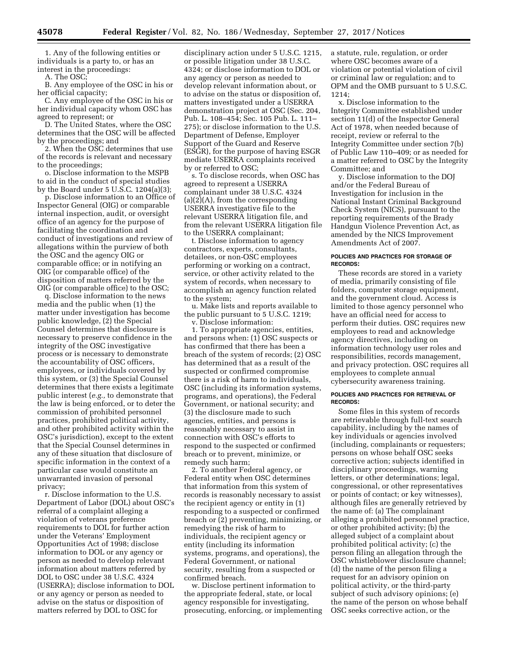1. Any of the following entities or individuals is a party to, or has an interest in the proceedings:

A. The OSC;

B. Any employee of the OSC in his or her official capacity;

C. Any employee of the OSC in his or her individual capacity whom OSC has agreed to represent; or

D. The United States, where the OSC determines that the OSC will be affected by the proceedings; and

2. When the OSC determines that use of the records is relevant and necessary to the proceedings;

o. Disclose information to the MSPB to aid in the conduct of special studies by the Board under 5 U.S.C. 1204(a)(3);

p. Disclose information to an Office of Inspector General (OIG) or comparable internal inspection, audit, or oversight office of an agency for the purpose of facilitating the coordination and conduct of investigations and review of allegations within the purview of both the OSC and the agency OIG or comparable office; or in notifying an OIG (or comparable office) of the disposition of matters referred by the OIG (or comparable office) to the OSC;

q. Disclose information to the news media and the public when (1) the matter under investigation has become public knowledge, (2) the Special Counsel determines that disclosure is necessary to preserve confidence in the integrity of the OSC investigative process or is necessary to demonstrate the accountability of OSC officers, employees, or individuals covered by this system, or (3) the Special Counsel determines that there exists a legitimate public interest (*e.g.,* to demonstrate that the law is being enforced, or to deter the commission of prohibited personnel practices, prohibited political activity, and other prohibited activity within the OSC's jurisdiction), except to the extent that the Special Counsel determines in any of these situation that disclosure of specific information in the context of a particular case would constitute an unwarranted invasion of personal privacy;

r. Disclose information to the U.S. Department of Labor (DOL) about OSC's referral of a complaint alleging a violation of veterans preference requirements to DOL for further action under the Veterans' Employment Opportunities Act of 1998; disclose information to DOL or any agency or person as needed to develop relevant information about matters referred by DOL to OSC under 38 U.S.C. 4324 (USERRA); disclose information to DOL or any agency or person as needed to advise on the status or disposition of matters referred by DOL to OSC for

disciplinary action under 5 U.S.C. 1215, or possible litigation under 38 U.S.C. 4324; or disclose information to DOL or any agency or person as needed to develop relevant information about, or to advise on the status or disposition of, matters investigated under a USERRA demonstration project at OSC (Sec. 204, Pub. L. 108–454; Sec. 105 Pub. L. 111– 275); or disclose information to the U.S. Department of Defense, Employer Support of the Guard and Reserve (ESGR), for the purpose of having ESGR mediate USERRA complaints received by or referred to OSC;

s. To disclose records, when OSC has agreed to represent a USERRA complainant under 38 U.S.C. 4324 (a)(2)(A), from the corresponding USERRA investigative file to the relevant USERRA litigation file, and from the relevant USERRA litigation file to the USERRA complainant;

t. Disclose information to agency contractors, experts, consultants, detailees, or non-OSC employees performing or working on a contract, service, or other activity related to the system of records, when necessary to accomplish an agency function related to the system;

u. Make lists and reports available to the public pursuant to 5 U.S.C. 1219; v. Disclose information:

1. To appropriate agencies, entities, and persons when: (1) OSC suspects or has confirmed that there has been a breach of the system of records; (2) OSC has determined that as a result of the suspected or confirmed compromise there is a risk of harm to individuals, OSC (including its information systems, programs, and operations), the Federal Government, or national security; and (3) the disclosure made to such agencies, entities, and persons is reasonably necessary to assist in connection with OSC's efforts to respond to the suspected or confirmed breach or to prevent, minimize, or remedy such harm;

2. To another Federal agency, or Federal entity when OSC determines that information from this system of records is reasonably necessary to assist the recipient agency or entity in (1) responding to a suspected or confirmed breach or (2) preventing, minimizing, or remedying the risk of harm to individuals, the recipient agency or entity (including its information systems, programs, and operations), the Federal Government, or national security, resulting from a suspected or confirmed breach.

w. Disclose pertinent information to the appropriate federal, state, or local agency responsible for investigating, prosecuting, enforcing, or implementing a statute, rule, regulation, or order where OSC becomes aware of a violation or potential violation of civil or criminal law or regulation; and to OPM and the OMB pursuant to 5 U.S.C. 1214;

x. Disclose information to the Integrity Committee established under section 11(d) of the Inspector General Act of 1978, when needed because of receipt, review or referral to the Integrity Committee under section 7(b) of Public Law 110–409; or as needed for a matter referred to OSC by the Integrity Committee; and

y. Disclose information to the DOJ and/or the Federal Bureau of Investigation for inclusion in the National Instant Criminal Background Check System (NICS), pursuant to the reporting requirements of the Brady Handgun Violence Prevention Act, as amended by the NICS Improvement Amendments Act of 2007.

### **POLICIES AND PRACTICES FOR STORAGE OF RECORDS:**

These records are stored in a variety of media, primarily consisting of file folders, computer storage equipment, and the government cloud. Access is limited to those agency personnel who have an official need for access to perform their duties. OSC requires new employees to read and acknowledge agency directives, including on information technology user roles and responsibilities, records management, and privacy protection. OSC requires all employees to complete annual cybersecurity awareness training.

#### **POLICIES AND PRACTICES FOR RETRIEVAL OF RECORDS:**

Some files in this system of records are retrievable through full-text search capability, including by the names of key individuals or agencies involved (including, complainants or requesters; persons on whose behalf OSC seeks corrective action; subjects identified in disciplinary proceedings, warning letters, or other determinations; legal, congressional, or other representatives or points of contact; or key witnesses), although files are generally retrieved by the name of: (a) The complainant alleging a prohibited personnel practice, or other prohibited activity; (b) the alleged subject of a complaint about prohibited political activity; (c) the person filing an allegation through the OSC whistleblower disclosure channel; (d) the name of the person filing a request for an advisory opinion on political activity, or the third-party subject of such advisory opinions; (e) the name of the person on whose behalf OSC seeks corrective action, or the